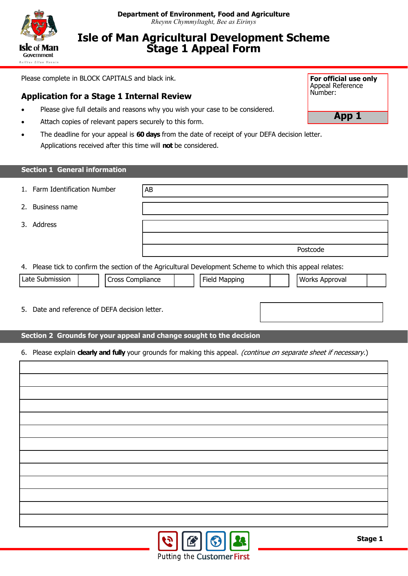

## **Isle of Man Agricultural Development Scheme Stage 1 Appeal Form**

Please complete in BLOCK CAPITALS and black ink.

## **Application for a Stage 1 Internal Review**

- Please give full details and reasons why you wish your case to be considered.
- Attach copies of relevant papers securely to this form.
- The deadline for your appeal is **60 days** from the date of receipt of your DEFA decision letter. Applications received after this time will **not** be considered.

| <b>Section 1 General information</b>                                                                               |    |  |                      |  |                       |  |  |  |
|--------------------------------------------------------------------------------------------------------------------|----|--|----------------------|--|-----------------------|--|--|--|
| Farm Identification Number<br>1.                                                                                   | AB |  |                      |  |                       |  |  |  |
| <b>Business name</b><br>2.                                                                                         |    |  |                      |  |                       |  |  |  |
| 3. Address                                                                                                         |    |  |                      |  |                       |  |  |  |
|                                                                                                                    |    |  |                      |  |                       |  |  |  |
|                                                                                                                    |    |  |                      |  | Postcode              |  |  |  |
| 4. Please tick to confirm the section of the Agricultural Development Scheme to which this appeal relates:         |    |  |                      |  |                       |  |  |  |
| Late Submission<br>Cross Compliance                                                                                |    |  | <b>Field Mapping</b> |  | <b>Works Approval</b> |  |  |  |
|                                                                                                                    |    |  |                      |  |                       |  |  |  |
| 5. Date and reference of DEFA decision letter.                                                                     |    |  |                      |  |                       |  |  |  |
|                                                                                                                    |    |  |                      |  |                       |  |  |  |
| Section 2 Grounds for your appeal and change sought to the decision                                                |    |  |                      |  |                       |  |  |  |
| 6. Please explain dearly and fully your grounds for making this appeal. (continue on separate sheet if necessary.) |    |  |                      |  |                       |  |  |  |
|                                                                                                                    |    |  |                      |  |                       |  |  |  |
|                                                                                                                    |    |  |                      |  |                       |  |  |  |
|                                                                                                                    |    |  |                      |  |                       |  |  |  |
|                                                                                                                    |    |  |                      |  |                       |  |  |  |
|                                                                                                                    |    |  |                      |  |                       |  |  |  |
|                                                                                                                    |    |  |                      |  |                       |  |  |  |
|                                                                                                                    |    |  |                      |  |                       |  |  |  |
|                                                                                                                    |    |  |                      |  |                       |  |  |  |
|                                                                                                                    |    |  |                      |  |                       |  |  |  |
|                                                                                                                    |    |  |                      |  |                       |  |  |  |
|                                                                                                                    |    |  |                      |  |                       |  |  |  |
|                                                                                                                    |    |  |                      |  |                       |  |  |  |
|                                                                                                                    |    |  |                      |  |                       |  |  |  |



**App 1**

**Stage 1**